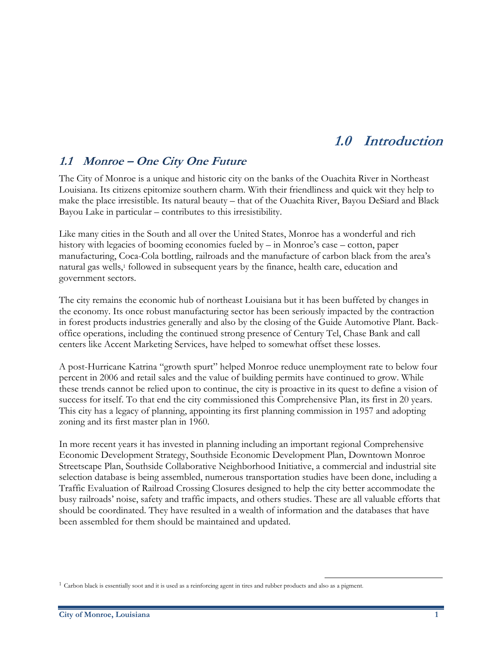# **1.0 Introduction**

## **1.1 Monroe – One City One Future**

The City of Monroe is a unique and historic city on the banks of the Ouachita River in Northeast Louisiana. Its citizens epitomize southern charm. With their friendliness and quick wit they help to make the place irresistible. Its natural beauty – that of the Ouachita River, Bayou DeSiard and Black Bayou Lake in particular – contributes to this irresistibility.

Like many cities in the South and all over the United States, Monroe has a wonderful and rich history with legacies of booming economies fueled by – in Monroe's case – cotton, paper manufacturing, Coca-Cola bottling, railroads and the manufacture of carbon black from the area's natural gas wells,<sup>1</sup> followed in subsequent years by the finance, health care, education and government sectors.

The city remains the economic hub of northeast Louisiana but it has been buffeted by changes in the economy. Its once robust manufacturing sector has been seriously impacted by the contraction in forest products industries generally and also by the closing of the Guide Automotive Plant. Backoffice operations, including the continued strong presence of Century Tel, Chase Bank and call centers like Accent Marketing Services, have helped to somewhat offset these losses.

A post-Hurricane Katrina "growth spurt" helped Monroe reduce unemployment rate to below four percent in 2006 and retail sales and the value of building permits have continued to grow. While these trends cannot be relied upon to continue, the city is proactive in its quest to define a vision of success for itself. To that end the city commissioned this Comprehensive Plan, its first in 20 years. This city has a legacy of planning, appointing its first planning commission in 1957 and adopting zoning and its first master plan in 1960.

In more recent years it has invested in planning including an important regional Comprehensive Economic Development Strategy, Southside Economic Development Plan, Downtown Monroe Streetscape Plan, Southside Collaborative Neighborhood Initiative, a commercial and industrial site selection database is being assembled, numerous transportation studies have been done, including a Traffic Evaluation of Railroad Crossing Closures designed to help the city better accommodate the busy railroads' noise, safety and traffic impacts, and others studies. These are all valuable efforts that should be coordinated. They have resulted in a wealth of information and the databases that have been assembled for them should be maintained and updated.

 $\overline{a}$ 

<sup>1</sup> Carbon black is essentially soot and it is used as a reinforcing agent in tires and rubber products and also as a pigment.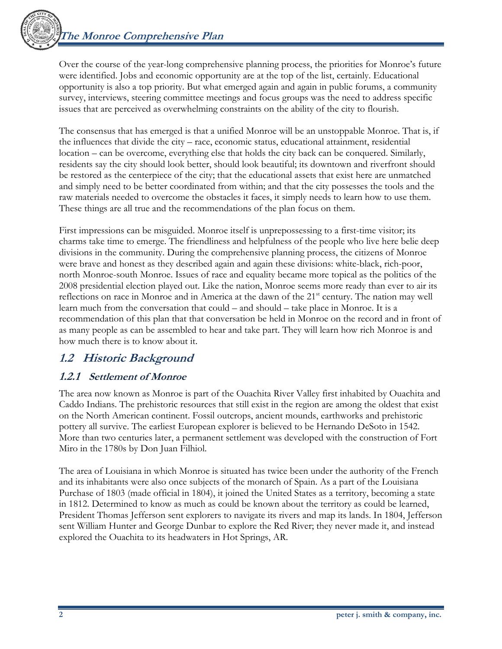

Over the course of the year-long comprehensive planning process, the priorities for Monroe's future were identified. Jobs and economic opportunity are at the top of the list, certainly. Educational opportunity is also a top priority. But what emerged again and again in public forums, a community survey, interviews, steering committee meetings and focus groups was the need to address specific issues that are perceived as overwhelming constraints on the ability of the city to flourish.

The consensus that has emerged is that a unified Monroe will be an unstoppable Monroe. That is, if the influences that divide the city – race, economic status, educational attainment, residential location – can be overcome, everything else that holds the city back can be conquered. Similarly, residents say the city should look better, should look beautiful; its downtown and riverfront should be restored as the centerpiece of the city; that the educational assets that exist here are unmatched and simply need to be better coordinated from within; and that the city possesses the tools and the raw materials needed to overcome the obstacles it faces, it simply needs to learn how to use them. These things are all true and the recommendations of the plan focus on them.

First impressions can be misguided. Monroe itself is unprepossessing to a first-time visitor; its charms take time to emerge. The friendliness and helpfulness of the people who live here belie deep divisions in the community. During the comprehensive planning process, the citizens of Monroe were brave and honest as they described again and again these divisions: white-black, rich-poor, north Monroe-south Monroe. Issues of race and equality became more topical as the politics of the 2008 presidential election played out. Like the nation, Monroe seems more ready than ever to air its reflections on race in Monroe and in America at the dawn of the 21<sup>st</sup> century. The nation may well learn much from the conversation that could – and should – take place in Monroe. It is a recommendation of this plan that that conversation be held in Monroe on the record and in front of as many people as can be assembled to hear and take part. They will learn how rich Monroe is and how much there is to know about it.

## **1.2 Historic Background**

## **1.2.1 Settlement of Monroe**

The area now known as Monroe is part of the Ouachita River Valley first inhabited by Ouachita and Caddo Indians. The prehistoric resources that still exist in the region are among the oldest that exist on the North American continent. Fossil outcrops, ancient mounds, earthworks and prehistoric pottery all survive. The earliest European explorer is believed to be Hernando DeSoto in 1542. More than two centuries later, a permanent settlement was developed with the construction of Fort Miro in the 1780s by Don Juan Filhiol.

The area of Louisiana in which Monroe is situated has twice been under the authority of the French and its inhabitants were also once subjects of the monarch of Spain. As a part of the Louisiana Purchase of 1803 (made official in 1804), it joined the United States as a territory, becoming a state in 1812. Determined to know as much as could be known about the territory as could be learned, President Thomas Jefferson sent explorers to navigate its rivers and map its lands. In 1804, Jefferson sent William Hunter and George Dunbar to explore the Red River; they never made it, and instead explored the Ouachita to its headwaters in Hot Springs, AR.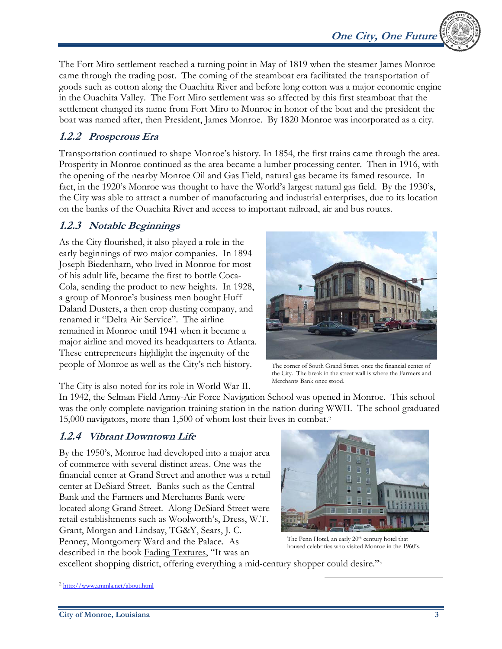

The Fort Miro settlement reached a turning point in May of 1819 when the steamer James Monroe came through the trading post. The coming of the steamboat era facilitated the transportation of goods such as cotton along the Ouachita River and before long cotton was a major economic engine in the Ouachita Valley. The Fort Miro settlement was so affected by this first steamboat that the settlement changed its name from Fort Miro to Monroe in honor of the boat and the president the boat was named after, then President, James Monroe. By 1820 Monroe was incorporated as a city.

## **1.2.2 Prosperous Era**

Transportation continued to shape Monroe's history. In 1854, the first trains came through the area. Prosperity in Monroe continued as the area became a lumber processing center. Then in 1916, with the opening of the nearby Monroe Oil and Gas Field, natural gas became its famed resource. In fact, in the 1920's Monroe was thought to have the World's largest natural gas field. By the 1930's, the City was able to attract a number of manufacturing and industrial enterprises, due to its location on the banks of the Ouachita River and access to important railroad, air and bus routes.

### **1.2.3 Notable Beginnings**

As the City flourished, it also played a role in the early beginnings of two major companies. In 1894 Joseph Biedenharn, who lived in Monroe for most of his adult life, became the first to bottle Coca-Cola, sending the product to new heights. In 1928, a group of Monroe's business men bought Huff Daland Dusters, a then crop dusting company, and renamed it "Delta Air Service". The airline remained in Monroe until 1941 when it became a major airline and moved its headquarters to Atlanta. These entrepreneurs highlight the ingenuity of the people of Monroe as well as the City's rich history.



The corner of South Grand Street, once the financial center of the City. The break in the street wall is where the Farmers and Merchants Bank once stood.

The City is also noted for its role in World War II.

In 1942, the Selman Field Army-Air Force Navigation School was opened in Monroe. This school was the only complete navigation training station in the nation during WWII. The school graduated 15,000 navigators, more than 1,500 of whom lost their lives in combat.2

## **1.2.4 Vibrant Downtown Life**

By the 1950's, Monroe had developed into a major area of commerce with several distinct areas. One was the financial center at Grand Street and another was a retail center at DeSiard Street. Banks such as the Central Bank and the Farmers and Merchants Bank were located along Grand Street. Along DeSiard Street were retail establishments such as Woolworth's, Dress, W.T. Grant, Morgan and Lindsay, TG&Y, Sears, J. C. Penney, Montgomery Ward and the Palace. As described in the book Fading Textures, "It was an



The Penn Hotel, an early 20<sup>th</sup> century hotel that housed celebrities who visited Monroe in the 1960's.

 $\overline{a}$ 

excellent shopping district, offering everything a mid-century shopper could desire."3

<sup>2</sup> http://www.ammla.net/about.html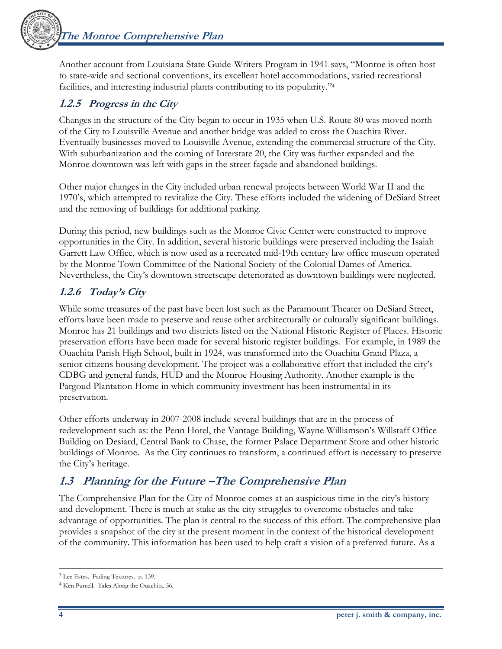**The Monroe Comprehensive Plan** 



Another account from Louisiana State Guide-Writers Program in 1941 says, "Monroe is often host to state-wide and sectional conventions, its excellent hotel accommodations, varied recreational facilities, and interesting industrial plants contributing to its popularity."4

## **1.2.5 Progress in the City**

Changes in the structure of the City began to occur in 1935 when U.S. Route 80 was moved north of the City to Louisville Avenue and another bridge was added to cross the Ouachita River. Eventually businesses moved to Louisville Avenue, extending the commercial structure of the City. With suburbanization and the coming of Interstate 20, the City was further expanded and the Monroe downtown was left with gaps in the street façade and abandoned buildings.

Other major changes in the City included urban renewal projects between World War II and the 1970's, which attempted to revitalize the City. These efforts included the widening of DeSiard Street and the removing of buildings for additional parking.

During this period, new buildings such as the Monroe Civic Center were constructed to improve opportunities in the City. In addition, several historic buildings were preserved including the Isaiah Garrett Law Office, which is now used as a recreated mid-19th century law office museum operated by the Monroe Town Committee of the National Society of the Colonial Dames of America. Nevertheless, the City's downtown streetscape deteriorated as downtown buildings were neglected.

## **1.2.6 Today's City**

While some treasures of the past have been lost such as the Paramount Theater on DeSiard Street, efforts have been made to preserve and reuse other architecturally or culturally significant buildings. Monroe has 21 buildings and two districts listed on the National Historic Register of Places. Historic preservation efforts have been made for several historic register buildings. For example, in 1989 the Ouachita Parish High School, built in 1924, was transformed into the Ouachita Grand Plaza, a senior citizens housing development. The project was a collaborative effort that included the city's CDBG and general funds, HUD and the Monroe Housing Authority. Another example is the Pargoud Plantation Home in which community investment has been instrumental in its preservation.

Other efforts underway in 2007-2008 include several buildings that are in the process of redevelopment such as: the Penn Hotel, the Vantage Building, Wayne Williamson's Willstaff Office Building on Desiard, Central Bank to Chase, the former Palace Department Store and other historic buildings of Monroe. As the City continues to transform, a continued effort is necessary to preserve the City's heritage.

## **1.3 Planning for the Future –The Comprehensive Plan**

The Comprehensive Plan for the City of Monroe comes at an auspicious time in the city's history and development. There is much at stake as the city struggles to overcome obstacles and take advantage of opportunities. The plan is central to the success of this effort. The comprehensive plan provides a snapshot of the city at the present moment in the context of the historical development of the community. This information has been used to help craft a vision of a preferred future. As a

 $\overline{a}$ 

<sup>3</sup> Lee Estes. Fading Textures. p. 139.

<sup>4</sup> Ken Purcell. Tales Along the Ouachita. 56.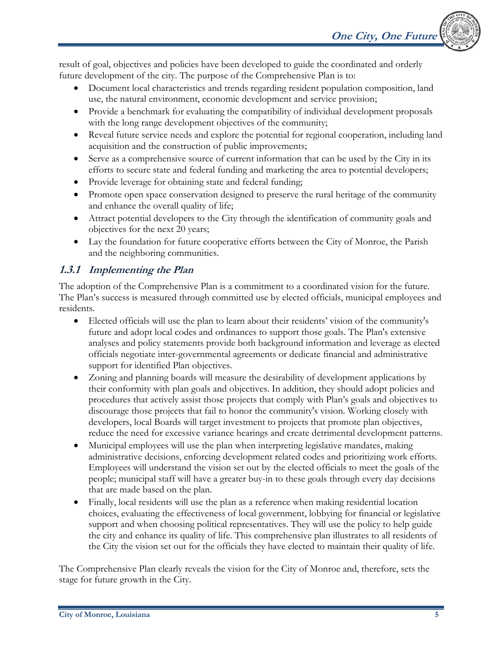result of goal, objectives and policies have been developed to guide the coordinated and orderly future development of the city. The purpose of the Comprehensive Plan is to:

- Document local characteristics and trends regarding resident population composition, land use, the natural environment, economic development and service provision;
- Provide a benchmark for evaluating the compatibility of individual development proposals with the long range development objectives of the community;
- Reveal future service needs and explore the potential for regional cooperation, including land acquisition and the construction of public improvements;
- Serve as a comprehensive source of current information that can be used by the City in its efforts to secure state and federal funding and marketing the area to potential developers;
- Provide leverage for obtaining state and federal funding;
- Promote open space conservation designed to preserve the rural heritage of the community and enhance the overall quality of life;
- Attract potential developers to the City through the identification of community goals and objectives for the next 20 years;
- Lay the foundation for future cooperative efforts between the City of Monroe, the Parish and the neighboring communities.

## **1.3.1 Implementing the Plan**

The adoption of the Comprehensive Plan is a commitment to a coordinated vision for the future. The Plan's success is measured through committed use by elected officials, municipal employees and residents.

- Elected officials will use the plan to learn about their residents' vision of the community's future and adopt local codes and ordinances to support those goals. The Plan's extensive analyses and policy statements provide both background information and leverage as elected officials negotiate inter-governmental agreements or dedicate financial and administrative support for identified Plan objectives.
- Zoning and planning boards will measure the desirability of development applications by their conformity with plan goals and objectives. In addition, they should adopt policies and procedures that actively assist those projects that comply with Plan's goals and objectives to discourage those projects that fail to honor the community's vision. Working closely with developers, local Boards will target investment to projects that promote plan objectives, reduce the need for excessive variance hearings and create detrimental development patterns.
- Municipal employees will use the plan when interpreting legislative mandates, making administrative decisions, enforcing development related codes and prioritizing work efforts. Employees will understand the vision set out by the elected officials to meet the goals of the people; municipal staff will have a greater buy-in to these goals through every day decisions that are made based on the plan.
- Finally, local residents will use the plan as a reference when making residential location choices, evaluating the effectiveness of local government, lobbying for financial or legislative support and when choosing political representatives. They will use the policy to help guide the city and enhance its quality of life. This comprehensive plan illustrates to all residents of the City the vision set out for the officials they have elected to maintain their quality of life.

The Comprehensive Plan clearly reveals the vision for the City of Monroe and, therefore, sets the stage for future growth in the City.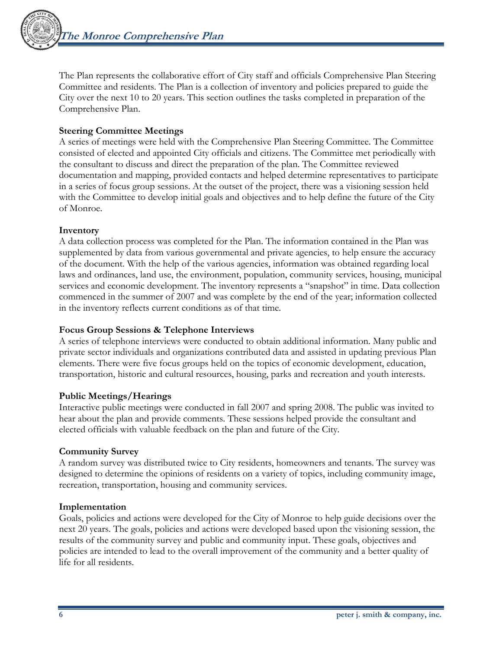The Plan represents the collaborative effort of City staff and officials Comprehensive Plan Steering Committee and residents. The Plan is a collection of inventory and policies prepared to guide the City over the next 10 to 20 years. This section outlines the tasks completed in preparation of the Comprehensive Plan.

### **Steering Committee Meetings**

A series of meetings were held with the Comprehensive Plan Steering Committee. The Committee consisted of elected and appointed City officials and citizens. The Committee met periodically with the consultant to discuss and direct the preparation of the plan. The Committee reviewed documentation and mapping, provided contacts and helped determine representatives to participate in a series of focus group sessions. At the outset of the project, there was a visioning session held with the Committee to develop initial goals and objectives and to help define the future of the City of Monroe.

#### **Inventory**

A data collection process was completed for the Plan. The information contained in the Plan was supplemented by data from various governmental and private agencies, to help ensure the accuracy of the document. With the help of the various agencies, information was obtained regarding local laws and ordinances, land use, the environment, population, community services, housing, municipal services and economic development. The inventory represents a "snapshot" in time. Data collection commenced in the summer of 2007 and was complete by the end of the year; information collected in the inventory reflects current conditions as of that time.

### **Focus Group Sessions & Telephone Interviews**

A series of telephone interviews were conducted to obtain additional information. Many public and private sector individuals and organizations contributed data and assisted in updating previous Plan elements. There were five focus groups held on the topics of economic development, education, transportation, historic and cultural resources, housing, parks and recreation and youth interests.

### **Public Meetings/Hearings**

Interactive public meetings were conducted in fall 2007 and spring 2008. The public was invited to hear about the plan and provide comments. These sessions helped provide the consultant and elected officials with valuable feedback on the plan and future of the City.

### **Community Survey**

A random survey was distributed twice to City residents, homeowners and tenants. The survey was designed to determine the opinions of residents on a variety of topics, including community image, recreation, transportation, housing and community services.

#### **Implementation**

Goals, policies and actions were developed for the City of Monroe to help guide decisions over the next 20 years. The goals, policies and actions were developed based upon the visioning session, the results of the community survey and public and community input. These goals, objectives and policies are intended to lead to the overall improvement of the community and a better quality of life for all residents.